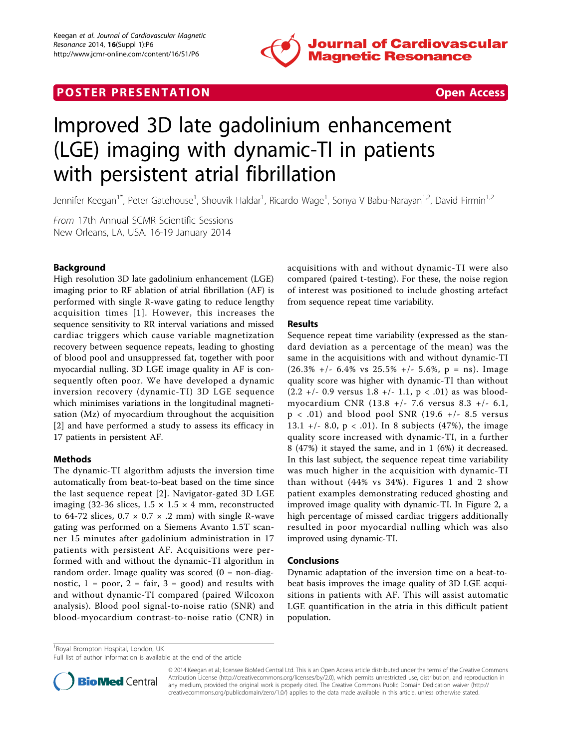

## **POSTER PRESENTATION CONSUMING THE SECOND CONSUMING THE SECOND CONSUMING THE SECOND CONSUMING THE SECOND CONSUMING THE SECOND CONSUMING THE SECOND CONSUMING THE SECOND CONSUMING THE SECOND CONSUMING THE SECOND CONSUMING**



# Improved 3D late gadolinium enhancement (LGE) imaging with dynamic-TI in patients with persistent atrial fibrillation

Jennifer Keegan<sup>1\*</sup>, Peter Gatehouse<sup>1</sup>, Shouvik Haldar<sup>1</sup>, Ricardo Wage<sup>1</sup>, Sonya V Babu-Narayan<sup>1,2</sup>, David Firmin<sup>1,2</sup>

From 17th Annual SCMR Scientific Sessions New Orleans, LA, USA. 16-19 January 2014

### Background

High resolution 3D late gadolinium enhancement (LGE) imaging prior to RF ablation of atrial fibrillation (AF) is performed with single R-wave gating to reduce lengthy acquisition times [[1](#page-1-0)]. However, this increases the sequence sensitivity to RR interval variations and missed cardiac triggers which cause variable magnetization recovery between sequence repeats, leading to ghosting of blood pool and unsuppressed fat, together with poor myocardial nulling. 3D LGE image quality in AF is consequently often poor. We have developed a dynamic inversion recovery (dynamic-TI) 3D LGE sequence which minimises variations in the longitudinal magnetisation (Mz) of myocardium throughout the acquisition [[2](#page-1-0)] and have performed a study to assess its efficacy in 17 patients in persistent AF.

### Methods

The dynamic-TI algorithm adjusts the inversion time automatically from beat-to-beat based on the time since the last sequence repeat [[2\]](#page-1-0). Navigator-gated 3D LGE imaging (32-36 slices,  $1.5 \times 1.5 \times 4$  mm, reconstructed to 64-72 slices,  $0.7 \times 0.7 \times .2$  mm) with single R-wave gating was performed on a Siemens Avanto 1.5T scanner 15 minutes after gadolinium administration in 17 patients with persistent AF. Acquisitions were performed with and without the dynamic-TI algorithm in random order. Image quality was scored  $(0 = non-diag -)$ nostic,  $1 = poor$ ,  $2 = fair$ ,  $3 = good$ ) and results with and without dynamic-TI compared (paired Wilcoxon analysis). Blood pool signal-to-noise ratio (SNR) and blood-myocardium contrast-to-noise ratio (CNR) in acquisitions with and without dynamic-TI were also compared (paired t-testing). For these, the noise region of interest was positioned to include ghosting artefact from sequence repeat time variability.

### Results

Sequence repeat time variability (expressed as the standard deviation as a percentage of the mean) was the same in the acquisitions with and without dynamic-TI  $(26.3\%$  +/- 6.4% vs 25.5% +/- 5.6%, p = ns). Image quality score was higher with dynamic-TI than without  $(2.2 +/- 0.9$  versus  $1.8 +/- 1.1$ ,  $p < .01$ ) as was bloodmyocardium CNR (13.8 +/- 7.6 versus 8.3 +/- 6.1,  $p < .01$ ) and blood pool SNR (19.6 +/- 8.5 versus 13.1 +/- 8.0,  $p < .01$ ). In 8 subjects (47%), the image quality score increased with dynamic-TI, in a further 8 (47%) it stayed the same, and in 1 (6%) it decreased. In this last subject, the sequence repeat time variability was much higher in the acquisition with dynamic-TI than without (44% vs 34%). Figures [1](#page-1-0) and [2](#page-1-0) show patient examples demonstrating reduced ghosting and improved image quality with dynamic-TI. In Figure [2,](#page-1-0) a high percentage of missed cardiac triggers additionally resulted in poor myocardial nulling which was also improved using dynamic-TI.

### Conclusions

Dynamic adaptation of the inversion time on a beat-tobeat basis improves the image quality of 3D LGE acquisitions in patients with AF. This will assist automatic LGE quantification in the atria in this difficult patient population.

<sup>1</sup> Royal Brompton Hospital, London, UK

Full list of author information is available at the end of the article



<sup>© 2014</sup> Keegan et al.; licensee BioMed Central Ltd. This is an Open Access article distributed under the terms of the Creative Commons Attribution License [\(http://creativecommons.org/licenses/by/2.0](http://creativecommons.org/licenses/by/2.0)), which permits unrestricted use, distribution, and reproduction in any medium, provided the original work is properly cited. The Creative Commons Public Domain Dedication waiver [\(http://](http://creativecommons.org/publicdomain/zero/1.0/) [creativecommons.org/publicdomain/zero/1.0/](http://creativecommons.org/publicdomain/zero/1.0/)) applies to the data made available in this article, unless otherwise stated.